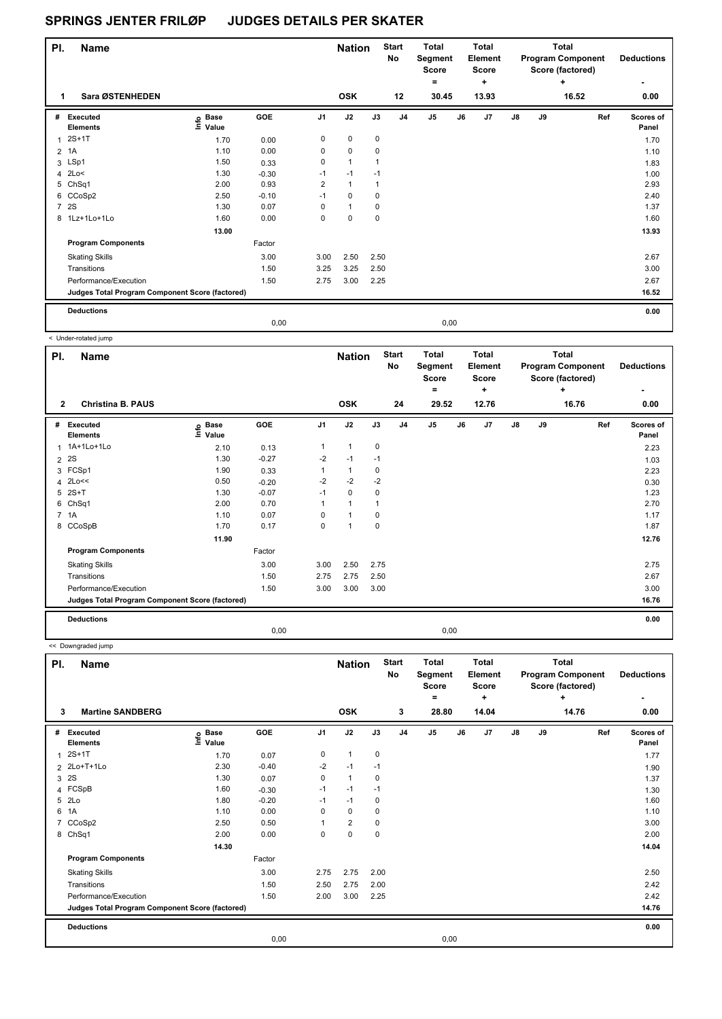| PI.            | <b>Name</b>                                     |                                  |         |                | <b>Nation</b> |             | <b>Start</b><br>No | <b>Total</b><br>Segment<br><b>Score</b><br>۰ |      | <b>Total</b><br><b>Element</b><br><b>Score</b> |               |    | <b>Total</b><br><b>Program Component</b><br>Score (factored) | <b>Deductions</b>  |
|----------------|-------------------------------------------------|----------------------------------|---------|----------------|---------------|-------------|--------------------|----------------------------------------------|------|------------------------------------------------|---------------|----|--------------------------------------------------------------|--------------------|
|                | Sara ØSTENHEDEN                                 |                                  |         |                | <b>OSK</b>    |             | 12                 | 30.45                                        |      | ٠<br>13.93                                     |               |    | ٠<br>16.52                                                   | 0.00               |
| #              | Executed<br><b>Elements</b>                     | <b>Base</b><br>e Base<br>⊆ Value | GOE     | J <sub>1</sub> | J2            | J3          | J <sub>4</sub>     | J <sub>5</sub>                               | J6   | J7                                             | $\mathsf{J}8$ | J9 | Ref                                                          | Scores of<br>Panel |
|                | $2S+1T$                                         | 1.70                             | 0.00    | 0              | 0             | 0           |                    |                                              |      |                                                |               |    |                                                              | 1.70               |
| 2              | 1A                                              | 1.10                             | 0.00    | 0              | $\mathbf 0$   | $\mathbf 0$ |                    |                                              |      |                                                |               |    |                                                              | 1.10               |
|                | 3 LSp1                                          | 1.50                             | 0.33    | 0              | $\mathbf{1}$  | 1           |                    |                                              |      |                                                |               |    |                                                              | 1.83               |
|                | 4 $2Lo<$                                        | 1.30                             | $-0.30$ | $-1$           | $-1$          | $-1$        |                    |                                              |      |                                                |               |    |                                                              | 1.00               |
|                | 5 ChSq1                                         | 2.00                             | 0.93    | 2              | $\mathbf{1}$  | 1           |                    |                                              |      |                                                |               |    |                                                              | 2.93               |
|                | 6 CCoSp2                                        | 2.50                             | $-0.10$ | $-1$           | $\mathbf 0$   | $\mathbf 0$ |                    |                                              |      |                                                |               |    |                                                              | 2.40               |
| $\overline{7}$ | <b>2S</b>                                       | 1.30                             | 0.07    | 0              | $\mathbf{1}$  | $\mathbf 0$ |                    |                                              |      |                                                |               |    |                                                              | 1.37               |
|                | 8 1Lz+1Lo+1Lo                                   | 1.60                             | 0.00    | 0              | $\mathbf 0$   | $\mathbf 0$ |                    |                                              |      |                                                |               |    |                                                              | 1.60               |
|                |                                                 | 13.00                            |         |                |               |             |                    |                                              |      |                                                |               |    |                                                              | 13.93              |
|                | <b>Program Components</b>                       |                                  | Factor  |                |               |             |                    |                                              |      |                                                |               |    |                                                              |                    |
|                | <b>Skating Skills</b>                           |                                  | 3.00    | 3.00           | 2.50          | 2.50        |                    |                                              |      |                                                |               |    |                                                              | 2.67               |
|                | Transitions                                     |                                  | 1.50    | 3.25           | 3.25          | 2.50        |                    |                                              |      |                                                |               |    |                                                              | 3.00               |
|                | Performance/Execution                           |                                  | 1.50    | 2.75           | 3.00          | 2.25        |                    |                                              |      |                                                |               |    |                                                              | 2.67               |
|                | Judges Total Program Component Score (factored) |                                  |         |                |               |             |                    |                                              |      |                                                |               |    |                                                              | 16.52              |
|                | <b>Deductions</b>                               |                                  |         |                |               |             |                    |                                              |      |                                                |               |    |                                                              | 0.00               |
|                |                                                 |                                  | 0.00    |                |               |             |                    |                                              | 0,00 |                                                |               |    |                                                              |                    |

 < Under-rotated jump **Name Deductions - Nation Total Segment Score = Total Element Score + Total Program Component Score (factored) + PI.** Name Start Controllering Start Controllering Start Controllering Start Controllering Start **No # Executed Elements Base Value GOE J1 J2 J3 J4 J5 J6 J7 J8 J9 Scores of Panel** 1 2.10 0.13 1 1 0 **Ref**  1A+1Lo+1Lo 2.23 **Info 2 Christina B. PAUS OSK 24 29.52 12.76 16.76 0.00**  $2 \quad 2S$  2S 1.30  $-0.27$   $-2$   $-1$   $-1$ 3 FCSp1 1.90 0.33 1 1 0 2.23 4 2Lo<< 0.50 -0.20 -2 -2 -2 0.30 5 2S+T 1.30 -0.07 -1 0 0 1.23 6 ChSq1 2.00 0.70 1 1 1 2.70 7 1A 1.10 0.07 0 1 0 1.17 8 CCoSpB 1.70 0.17 0 1 0 1.87  **11.90 12.76 Program Components**  Skating Skills 3.00 3.00 3.00 2.50 2.75 Factor 3.00 2.75 Transitions 1.50 2.75 2.75 2.50 2.67 Performance/Execution 1.50 3.00 3.00 3.00 3.00 **Deductions 0.00 Judges Total Program Component Score (factored) 16.76** 0,00 0,00

<< Downgraded jump

| PI. | <b>Name</b>                                     |                                  |            |                | <b>Nation</b>  |      | <b>Start</b><br>No | <b>Total</b><br>Segment<br><b>Score</b><br>۰ |    | <b>Total</b><br>Element<br><b>Score</b><br>÷ |               |    | <b>Total</b><br><b>Program Component</b><br>Score (factored)<br>٠ | <b>Deductions</b>  |
|-----|-------------------------------------------------|----------------------------------|------------|----------------|----------------|------|--------------------|----------------------------------------------|----|----------------------------------------------|---------------|----|-------------------------------------------------------------------|--------------------|
| 3   | <b>Martine SANDBERG</b>                         |                                  |            |                | <b>OSK</b>     |      | 3                  | 28.80                                        |    | 14.04                                        |               |    | 14.76                                                             | 0.00               |
| #   | Executed<br><b>Elements</b>                     | <b>Base</b><br>e Base<br>⊑ Value | <b>GOE</b> | J <sub>1</sub> | J2             | J3   | J <sub>4</sub>     | J <sub>5</sub>                               | J6 | J <sub>7</sub>                               | $\mathsf{J}8$ | J9 | Ref                                                               | Scores of<br>Panel |
| 1   | $2S+1T$                                         | 1.70                             | 0.07       | 0              | $\mathbf{1}$   | 0    |                    |                                              |    |                                              |               |    |                                                                   | 1.77               |
|     | 2 2Lo+T+1Lo                                     | 2.30                             | $-0.40$    | $-2$           | $-1$           | $-1$ |                    |                                              |    |                                              |               |    |                                                                   | 1.90               |
| 3   | 2S                                              | 1.30                             | 0.07       | 0              | $\mathbf{1}$   | 0    |                    |                                              |    |                                              |               |    |                                                                   | 1.37               |
|     | 4 FCSpB                                         | 1.60                             | $-0.30$    | $-1$           | $-1$           | $-1$ |                    |                                              |    |                                              |               |    |                                                                   | 1.30               |
| 5   | 2Lo                                             | 1.80                             | $-0.20$    | $-1$           | $-1$           | 0    |                    |                                              |    |                                              |               |    |                                                                   | 1.60               |
| 6   | 1A                                              | 1.10                             | 0.00       | 0              | $\mathbf 0$    | 0    |                    |                                              |    |                                              |               |    |                                                                   | 1.10               |
| 7   | CCoSp2                                          | 2.50                             | 0.50       |                | $\overline{2}$ | 0    |                    |                                              |    |                                              |               |    |                                                                   | 3.00               |
|     | 8 ChSq1                                         | 2.00                             | 0.00       | 0              | $\mathbf 0$    | 0    |                    |                                              |    |                                              |               |    |                                                                   | 2.00               |
|     |                                                 | 14.30                            |            |                |                |      |                    |                                              |    |                                              |               |    |                                                                   | 14.04              |
|     | <b>Program Components</b>                       |                                  | Factor     |                |                |      |                    |                                              |    |                                              |               |    |                                                                   |                    |
|     | <b>Skating Skills</b>                           |                                  | 3.00       | 2.75           | 2.75           | 2.00 |                    |                                              |    |                                              |               |    |                                                                   | 2.50               |
|     | Transitions                                     |                                  | 1.50       | 2.50           | 2.75           | 2.00 |                    |                                              |    |                                              |               |    |                                                                   | 2.42               |
|     | Performance/Execution                           |                                  | 1.50       | 2.00           | 3.00           | 2.25 |                    |                                              |    |                                              |               |    |                                                                   | 2.42               |
|     | Judges Total Program Component Score (factored) |                                  |            |                |                |      |                    |                                              |    |                                              |               |    |                                                                   | 14.76              |
|     | <b>Deductions</b>                               |                                  |            |                |                |      |                    |                                              |    |                                              |               |    |                                                                   | 0.00               |
|     |                                                 |                                  | 0,00       |                |                |      |                    | 0,00                                         |    |                                              |               |    |                                                                   |                    |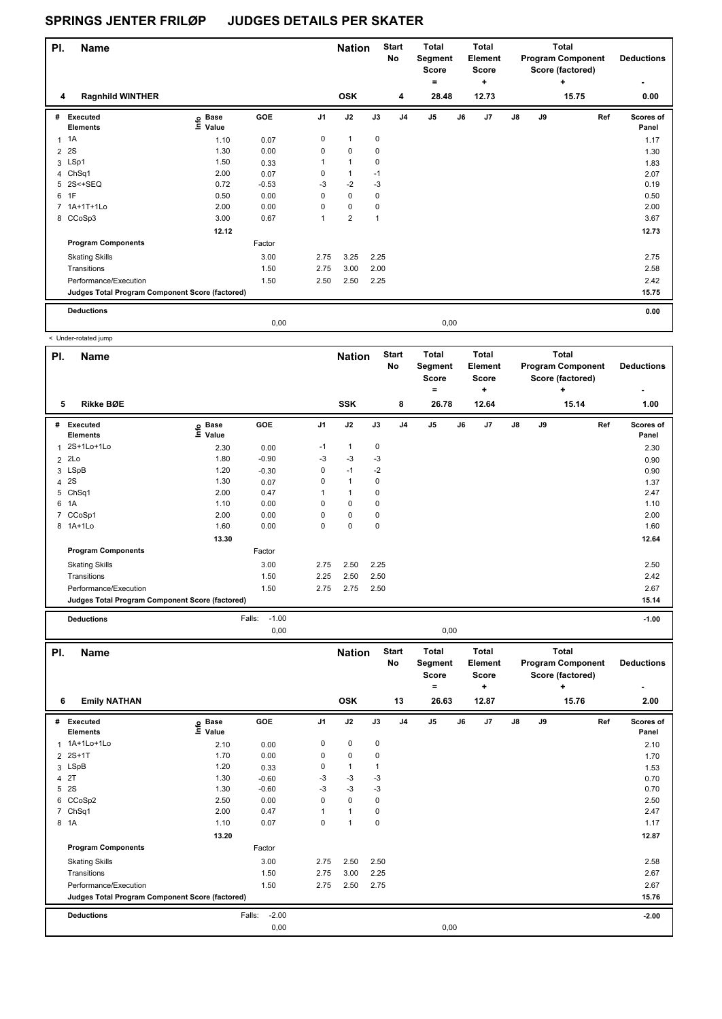| PI.            | <b>Name</b>                                     |                                  |         |                | <b>Nation</b>           |      | <b>Start</b><br>No | <b>Total</b><br>Segment<br><b>Score</b> |    | <b>Total</b><br>Element<br><b>Score</b> |               |    | <b>Total</b><br><b>Program Component</b><br>Score (factored) | <b>Deductions</b>  |
|----------------|-------------------------------------------------|----------------------------------|---------|----------------|-------------------------|------|--------------------|-----------------------------------------|----|-----------------------------------------|---------------|----|--------------------------------------------------------------|--------------------|
| 4              | <b>Ragnhild WINTHER</b>                         |                                  |         |                | <b>OSK</b>              |      | 4                  | ۰<br>28.48                              |    | ÷<br>12.73                              |               |    | ٠<br>15.75                                                   | 0.00               |
| #              | Executed<br><b>Elements</b>                     | <b>Base</b><br>e Base<br>⊆ Value | GOE     | J <sub>1</sub> | J2                      | J3   | J <sub>4</sub>     | J <sub>5</sub>                          | J6 | J7                                      | $\mathsf{J}8$ | J9 | Ref                                                          | Scores of<br>Panel |
|                | $1 \t1A$                                        | 1.10                             | 0.07    | 0              | $\mathbf{1}$            | 0    |                    |                                         |    |                                         |               |    |                                                              | 1.17               |
| $\overline{2}$ | 2S                                              | 1.30                             | 0.00    | 0              | 0                       | 0    |                    |                                         |    |                                         |               |    |                                                              | 1.30               |
|                | 3 LSp1                                          | 1.50                             | 0.33    |                | 1                       | 0    |                    |                                         |    |                                         |               |    |                                                              | 1.83               |
|                | 4 ChSq1                                         | 2.00                             | 0.07    | 0              | 1                       | $-1$ |                    |                                         |    |                                         |               |    |                                                              | 2.07               |
|                | 5 2S<+SEQ                                       | 0.72                             | $-0.53$ | $-3$           | $-2$                    | -3   |                    |                                         |    |                                         |               |    |                                                              | 0.19               |
| 6              | 1F                                              | 0.50                             | 0.00    | $\Omega$       | $\mathbf 0$             | 0    |                    |                                         |    |                                         |               |    |                                                              | 0.50               |
| $\overline{7}$ | 1A+1T+1Lo                                       | 2.00                             | 0.00    | 0              | 0                       | 0    |                    |                                         |    |                                         |               |    |                                                              | 2.00               |
|                | 8 CCoSp3                                        | 3.00                             | 0.67    | 1              | $\overline{\mathbf{c}}$ | 1    |                    |                                         |    |                                         |               |    |                                                              | 3.67               |
|                |                                                 | 12.12                            |         |                |                         |      |                    |                                         |    |                                         |               |    |                                                              | 12.73              |
|                | <b>Program Components</b>                       |                                  | Factor  |                |                         |      |                    |                                         |    |                                         |               |    |                                                              |                    |
|                | <b>Skating Skills</b>                           |                                  | 3.00    | 2.75           | 3.25                    | 2.25 |                    |                                         |    |                                         |               |    |                                                              | 2.75               |
|                | Transitions                                     |                                  | 1.50    | 2.75           | 3.00                    | 2.00 |                    |                                         |    |                                         |               |    |                                                              | 2.58               |
|                | Performance/Execution                           |                                  | 1.50    | 2.50           | 2.50                    | 2.25 |                    |                                         |    |                                         |               |    |                                                              | 2.42               |
|                | Judges Total Program Component Score (factored) |                                  |         |                |                         |      |                    |                                         |    |                                         |               |    |                                                              | 15.75              |
|                | <b>Deductions</b>                               |                                  |         |                |                         |      |                    |                                         |    |                                         |               |    |                                                              | 0.00               |
|                |                                                 |                                  | 0,00    |                |                         |      |                    | 0,00                                    |    |                                         |               |    |                                                              |                    |

 < Under-rotated jump **Name Nation Total Pl. Start Segment Score = Total Element Score + No # Executed Elements Base Value**  1 2.30 0.00 -1 1 0  **5 Rikke BØE SSK 8 26.78 12.64 15.14 1.00**

|   |                                                 |                       |         |                |            |          |                | $=$            |    | ٠     |               |    | ٠     |     | ٠                  |
|---|-------------------------------------------------|-----------------------|---------|----------------|------------|----------|----------------|----------------|----|-------|---------------|----|-------|-----|--------------------|
| 5 | <b>Rikke BØE</b>                                |                       |         |                | <b>SSK</b> |          | 8              | 26.78          |    | 12.64 |               |    | 15.14 |     | 1.00               |
| # | <b>Executed</b><br><b>Elements</b>              | Base<br>١nf٥<br>Value | GOE     | J <sub>1</sub> | J2         | J3       | J <sub>4</sub> | J <sub>5</sub> | J6 | J7    | $\mathsf{J}8$ | J9 |       | Ref | Scores of<br>Panel |
|   | 1 2S+1Lo+1Lo                                    | 2.30                  | 0.00    | $-1$           | 1          | 0        |                |                |    |       |               |    |       |     | 2.30               |
|   | $2$ $2Lo$                                       | 1.80                  | $-0.90$ | $-3$           | $-3$       | -3       |                |                |    |       |               |    |       |     | 0.90               |
|   | 3 LSpB                                          | 1.20                  | $-0.30$ | 0              | $-1$       | $-2$     |                |                |    |       |               |    |       |     | 0.90               |
|   | 4 2S                                            | 1.30                  | 0.07    | 0              | 1          | 0        |                |                |    |       |               |    |       |     | 1.37               |
|   | 5 ChSq1                                         | 2.00                  | 0.47    | 1              | 1          | 0        |                |                |    |       |               |    |       |     | 2.47               |
|   | 6 1A                                            | 1.10                  | 0.00    | 0              | 0          | $\Omega$ |                |                |    |       |               |    |       |     | 1.10               |
|   | 7 CCoSp1                                        | 2.00                  | 0.00    | 0              | 0          | 0        |                |                |    |       |               |    |       |     | 2.00               |
|   | 8 1A+1Lo                                        | 1.60                  | 0.00    | 0              | 0          | $\Omega$ |                |                |    |       |               |    |       |     | 1.60               |
|   |                                                 | 13.30                 |         |                |            |          |                |                |    |       |               |    |       |     | 12.64              |
|   | <b>Program Components</b>                       |                       | Factor  |                |            |          |                |                |    |       |               |    |       |     |                    |
|   | <b>Skating Skills</b>                           |                       | 3.00    | 2.75           | 2.50       | 2.25     |                |                |    |       |               |    |       |     | 2.50               |
|   | Transitions                                     |                       | 1.50    | 2.25           | 2.50       | 2.50     |                |                |    |       |               |    |       |     | 2.42               |
|   | Performance/Execution                           |                       | 1.50    | 2.75           | 2.75       | 2.50     |                |                |    |       |               |    |       |     | 2.67               |
|   | Judges Total Program Component Score (factored) |                       |         |                |            |          |                |                |    |       |               |    |       |     | 15.14              |

**Deductions** Falls: -1.00 **-1.00**

**Deductions**

**Total Program Component Score (factored)**

|                |                                                 |                            | 0,00              |                |                             |      |                          | 0,00                                                  |    |                                                       |               |    |                                                                            |     |                           |
|----------------|-------------------------------------------------|----------------------------|-------------------|----------------|-----------------------------|------|--------------------------|-------------------------------------------------------|----|-------------------------------------------------------|---------------|----|----------------------------------------------------------------------------|-----|---------------------------|
| PI.<br>6       | Name<br><b>Emily NATHAN</b>                     |                            |                   |                | <b>Nation</b><br><b>OSK</b> |      | <b>Start</b><br>No<br>13 | <b>Total</b><br>Segment<br><b>Score</b><br>۰<br>26.63 |    | <b>Total</b><br>Element<br><b>Score</b><br>÷<br>12.87 |               |    | <b>Total</b><br><b>Program Component</b><br>Score (factored)<br>÷<br>15.76 |     | <b>Deductions</b><br>2.00 |
| #              | <b>Executed</b><br><b>Elements</b>              | e Base<br>⊑ Value<br>Value | <b>GOE</b>        | J <sub>1</sub> | J2                          | J3   | J <sub>4</sub>           | J5                                                    | J6 | J7                                                    | $\mathsf{J}8$ | J9 |                                                                            | Ref | Scores of<br>Panel        |
|                | 1 1A+1Lo+1Lo                                    | 2.10                       | 0.00              | 0              | 0                           | 0    |                          |                                                       |    |                                                       |               |    |                                                                            |     | 2.10                      |
|                | 2 2S+1T                                         | 1.70                       | 0.00              | 0              | 0                           | 0    |                          |                                                       |    |                                                       |               |    |                                                                            |     | 1.70                      |
|                | 3 LSpB                                          | 1.20                       | 0.33              | 0              | $\mathbf{1}$                | 1    |                          |                                                       |    |                                                       |               |    |                                                                            |     | 1.53                      |
|                | 4 2T                                            | 1.30                       | $-0.60$           | $-3$           | $-3$                        | -3   |                          |                                                       |    |                                                       |               |    |                                                                            |     | 0.70                      |
|                | 5 2S                                            | 1.30                       | $-0.60$           | $-3$           | $-3$                        | $-3$ |                          |                                                       |    |                                                       |               |    |                                                                            |     | 0.70                      |
| 6              | CCoSp2                                          | 2.50                       | 0.00              | 0              | $\mathbf 0$                 | 0    |                          |                                                       |    |                                                       |               |    |                                                                            |     | 2.50                      |
| $\overline{7}$ | ChSq1                                           | 2.00                       | 0.47              |                | $\mathbf{1}$                | 0    |                          |                                                       |    |                                                       |               |    |                                                                            |     | 2.47                      |
|                | 8 1A                                            | 1.10                       | 0.07              | 0              | 1                           | 0    |                          |                                                       |    |                                                       |               |    |                                                                            |     | 1.17                      |
|                |                                                 | 13.20                      |                   |                |                             |      |                          |                                                       |    |                                                       |               |    |                                                                            |     | 12.87                     |
|                | <b>Program Components</b>                       |                            | Factor            |                |                             |      |                          |                                                       |    |                                                       |               |    |                                                                            |     |                           |
|                | <b>Skating Skills</b>                           |                            | 3.00              | 2.75           | 2.50                        | 2.50 |                          |                                                       |    |                                                       |               |    |                                                                            |     | 2.58                      |
|                | Transitions                                     |                            | 1.50              | 2.75           | 3.00                        | 2.25 |                          |                                                       |    |                                                       |               |    |                                                                            |     | 2.67                      |
|                | Performance/Execution                           |                            | 1.50              | 2.75           | 2.50                        | 2.75 |                          |                                                       |    |                                                       |               |    |                                                                            |     | 2.67                      |
|                | Judges Total Program Component Score (factored) |                            |                   |                |                             |      |                          |                                                       |    |                                                       |               |    |                                                                            |     | 15.76                     |
|                | <b>Deductions</b>                               |                            | $-2.00$<br>Falls: |                |                             |      |                          |                                                       |    |                                                       |               |    |                                                                            |     | $-2.00$                   |
|                |                                                 |                            | 0,00              |                |                             |      |                          | 0,00                                                  |    |                                                       |               |    |                                                                            |     |                           |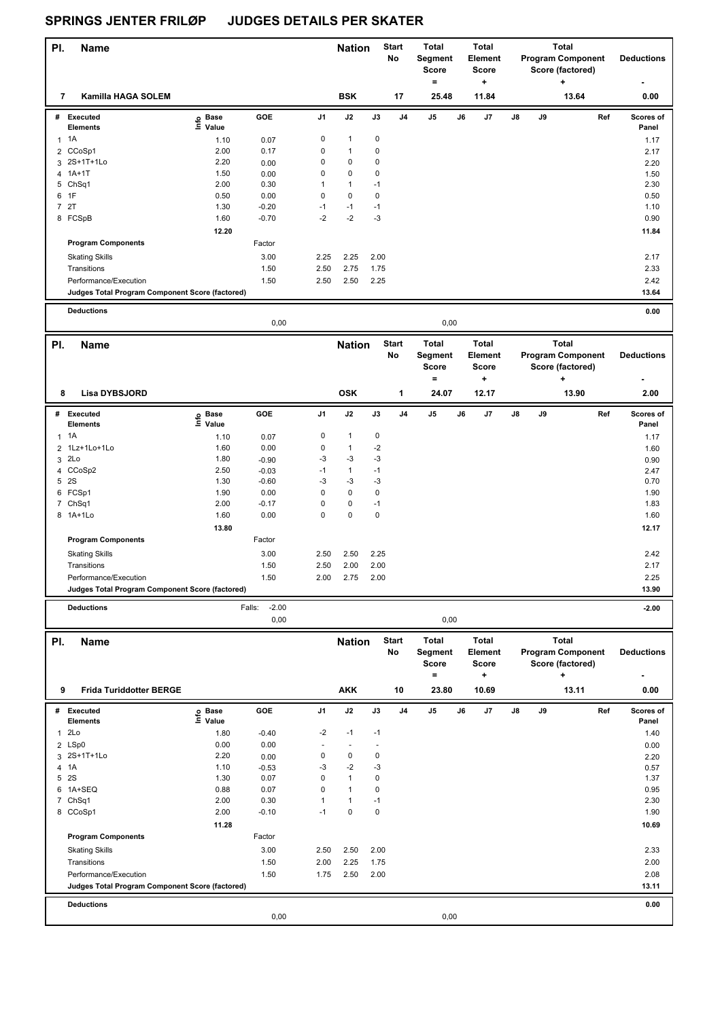| PI.            | <b>Name</b>                                                              |                   |                   |                             | <b>Nation</b>                |                      | <b>Start</b><br>No | Total<br>Segment<br>Score<br>=                 |    | <b>Total</b><br>Element<br><b>Score</b><br>÷ |    |    | <b>Total</b><br><b>Program Component</b><br>Score (factored)<br>٠ | <b>Deductions</b>  |
|----------------|--------------------------------------------------------------------------|-------------------|-------------------|-----------------------------|------------------------------|----------------------|--------------------|------------------------------------------------|----|----------------------------------------------|----|----|-------------------------------------------------------------------|--------------------|
| 7              | <b>Kamilla HAGA SOLEM</b>                                                |                   |                   |                             | <b>BSK</b>                   |                      | 17                 | 25.48                                          |    | 11.84                                        |    |    | 13.64                                                             | 0.00               |
| #              | <b>Executed</b><br><b>Elements</b>                                       | e Base<br>⊑ Value | GOE               | J1                          | J2                           | J3                   | J4                 | J5                                             | J6 | J7                                           | J8 | J9 | Ref                                                               | Scores of<br>Panel |
|                | $1 \t1A$                                                                 | 1.10              | 0.07              | 0                           | $\mathbf 1$                  | 0                    |                    |                                                |    |                                              |    |    |                                                                   | 1.17               |
|                | 2 CCoSp1                                                                 | 2.00              | 0.17              | $\pmb{0}$                   | $\mathbf{1}$                 | 0                    |                    |                                                |    |                                              |    |    |                                                                   |                    |
| 3              | 2S+1T+1Lo                                                                | 2.20              |                   | $\mathbf 0$                 | $\pmb{0}$                    | 0                    |                    |                                                |    |                                              |    |    |                                                                   | 2.17               |
|                | 4 1A+1T                                                                  | 1.50              | 0.00<br>0.00      | 0                           | 0                            | 0                    |                    |                                                |    |                                              |    |    |                                                                   | 2.20<br>1.50       |
|                | 5 ChSq1                                                                  | 2.00              | 0.30              | $\mathbf{1}$                | $\mathbf{1}$                 | $-1$                 |                    |                                                |    |                                              |    |    |                                                                   | 2.30               |
|                | 6 1F                                                                     | 0.50              | 0.00              | $\mathbf 0$                 | $\pmb{0}$                    | 0                    |                    |                                                |    |                                              |    |    |                                                                   | 0.50               |
| 7              | 2T                                                                       | 1.30              | $-0.20$           | $-1$                        | $-1$                         | $-1$                 |                    |                                                |    |                                              |    |    |                                                                   | 1.10               |
|                | 8 FCSpB                                                                  | 1.60              | $-0.70$           | $-2$                        | $-2$                         | -3                   |                    |                                                |    |                                              |    |    |                                                                   | 0.90               |
|                |                                                                          | 12.20             |                   |                             |                              |                      |                    |                                                |    |                                              |    |    |                                                                   | 11.84              |
|                | <b>Program Components</b>                                                |                   | Factor            |                             |                              |                      |                    |                                                |    |                                              |    |    |                                                                   |                    |
|                | <b>Skating Skills</b>                                                    |                   | 3.00              | 2.25                        | 2.25                         | 2.00                 |                    |                                                |    |                                              |    |    |                                                                   | 2.17               |
|                | Transitions                                                              |                   | 1.50              | 2.50                        | 2.75                         | 1.75                 |                    |                                                |    |                                              |    |    |                                                                   | 2.33               |
|                | Performance/Execution                                                    |                   | 1.50              | 2.50                        | 2.50                         | 2.25                 |                    |                                                |    |                                              |    |    |                                                                   | 2.42               |
|                | Judges Total Program Component Score (factored)                          |                   |                   |                             |                              |                      |                    |                                                |    |                                              |    |    |                                                                   | 13.64              |
|                |                                                                          |                   |                   |                             |                              |                      |                    |                                                |    |                                              |    |    |                                                                   |                    |
|                | <b>Deductions</b>                                                        |                   | 0,00              |                             |                              |                      |                    | 0,00                                           |    |                                              |    |    |                                                                   | 0.00               |
|                |                                                                          |                   |                   |                             |                              |                      |                    |                                                |    |                                              |    |    |                                                                   |                    |
| PI.            | <b>Name</b>                                                              |                   |                   |                             | <b>Nation</b>                |                      | <b>Start</b><br>No | <b>Total</b><br>Segment<br><b>Score</b><br>$=$ |    | <b>Total</b><br>Element<br><b>Score</b><br>+ |    |    | <b>Total</b><br><b>Program Component</b><br>Score (factored)<br>٠ | <b>Deductions</b>  |
| 8              | Lisa DYBSJORD                                                            |                   |                   |                             | <b>OSK</b>                   |                      | 1                  | 24.07                                          |    | 12.17                                        |    |    | 13.90                                                             | 2.00               |
|                | # Executed                                                               |                   | GOE               | J1                          | J2                           | J3                   | J <sub>4</sub>     | J5                                             | J6 | J7                                           | J8 | J9 | Ref                                                               | Scores of          |
|                | Elements                                                                 | e Base<br>⊆ Value |                   |                             |                              |                      |                    |                                                |    |                                              |    |    |                                                                   | Panel              |
| 1              | 1A                                                                       | 1.10              | 0.07              | 0                           | $\mathbf{1}$                 | 0                    |                    |                                                |    |                                              |    |    |                                                                   | 1.17               |
| $\overline{2}$ | 1Lz+1Lo+1Lo                                                              | 1.60              | 0.00              | $\mathbf 0$                 | $\mathbf{1}$                 | $-2$                 |                    |                                                |    |                                              |    |    |                                                                   | 1.60               |
|                | 3 2Lo                                                                    | 1.80              | $-0.90$           | -3                          | $-3$                         | $-3$                 |                    |                                                |    |                                              |    |    |                                                                   | 0.90               |
|                | 4 CCoSp2                                                                 | 2.50              | $-0.03$           | $-1$                        | $\mathbf{1}$                 | $-1$                 |                    |                                                |    |                                              |    |    |                                                                   | 2.47               |
|                | 5 2S                                                                     | 1.30              | $-0.60$           | -3                          | $-3$                         | $-3$                 |                    |                                                |    |                                              |    |    |                                                                   | 0.70               |
|                | 6 FCSp1                                                                  | 1.90              | 0.00              | $\mathbf 0$                 | $\pmb{0}$                    | 0                    |                    |                                                |    |                                              |    |    |                                                                   | 1.90               |
|                | 7 ChSq1                                                                  | 2.00              | $-0.17$           | $\mathbf 0$                 | 0                            | $-1$                 |                    |                                                |    |                                              |    |    |                                                                   | 1.83               |
|                | 8 1A+1Lo                                                                 | 1.60              | 0.00              | $\mathbf 0$                 | $\pmb{0}$                    | 0                    |                    |                                                |    |                                              |    |    |                                                                   | 1.60               |
|                |                                                                          | 13.80             |                   |                             |                              |                      |                    |                                                |    |                                              |    |    |                                                                   | 12.17              |
|                | <b>Program Components</b>                                                |                   | Factor            |                             |                              |                      |                    |                                                |    |                                              |    |    |                                                                   |                    |
|                | <b>Skating Skills</b>                                                    |                   | 3.00              | 2.50                        | 2.50                         | 2.25                 |                    |                                                |    |                                              |    |    |                                                                   | 2.42               |
|                | Transitions                                                              |                   | 1.50              | 2.50                        | 2.00                         | 2.00                 |                    |                                                |    |                                              |    |    |                                                                   | 2.17               |
|                | Performance/Execution                                                    |                   | 1.50              | 2.00                        | 2.75                         | 2.00                 |                    |                                                |    |                                              |    |    |                                                                   | 2.25               |
|                | Judges Total Program Component Score (factored)                          |                   |                   |                             |                              |                      |                    |                                                |    |                                              |    |    |                                                                   | 13.90              |
|                | <b>Deductions</b>                                                        |                   | $-2.00$<br>Falls: |                             |                              |                      |                    |                                                |    |                                              |    |    |                                                                   | $-2.00$            |
|                |                                                                          |                   | 0,00              |                             |                              |                      |                    | 0,00                                           |    |                                              |    |    |                                                                   |                    |
|                |                                                                          |                   |                   |                             |                              |                      |                    |                                                |    |                                              |    |    |                                                                   |                    |
| PI.            | <b>Name</b>                                                              |                   |                   |                             | <b>Nation</b>                |                      | <b>Start</b><br>No | <b>Total</b><br>Segment<br>Score<br>$=$        |    | Total<br>Element<br><b>Score</b><br>٠        |    |    | <b>Total</b><br><b>Program Component</b><br>Score (factored)<br>٠ | <b>Deductions</b>  |
| 9              | <b>Frida Turiddotter BERGE</b>                                           |                   |                   |                             | <b>AKK</b>                   |                      | 10                 | 23.80                                          |    | 10.69                                        |    |    | 13.11                                                             | 0.00               |
|                | # Executed                                                               | e Base<br>⊑ Value | GOE               | J1                          | J2                           | J3                   | J4                 | J5                                             | J6 | J7                                           | J8 | J9 | Ref                                                               | Scores of          |
|                | Elements                                                                 |                   |                   |                             |                              |                      |                    |                                                |    |                                              |    |    |                                                                   | Panel              |
|                | 12Lo                                                                     | 1.80              | $-0.40$           | -2                          | $-1$                         | $-1$                 |                    |                                                |    |                                              |    |    |                                                                   | 1.40               |
|                | 2 LSp0                                                                   | 0.00              | 0.00              | ä,                          | $\overline{\phantom{a}}$     | $\ddot{\phantom{1}}$ |                    |                                                |    |                                              |    |    |                                                                   | 0.00               |
|                | 3 2S+1T+1Lo                                                              | 2.20              | 0.00              | $\pmb{0}$                   | 0                            | 0                    |                    |                                                |    |                                              |    |    |                                                                   | 2.20               |
|                | 4 1A                                                                     | 1.10              | $-0.53$           | -3                          | $-2$                         | -3                   |                    |                                                |    |                                              |    |    |                                                                   | 0.57               |
|                | 5 2S                                                                     | 1.30              | 0.07              | 0                           | $\mathbf{1}$                 | 0                    |                    |                                                |    |                                              |    |    |                                                                   | 1.37               |
| 6              | 1A+SEQ<br>7 ChSq1                                                        | 0.88<br>2.00      | 0.07<br>0.30      | $\mathbf 0$<br>$\mathbf{1}$ | $\mathbf{1}$<br>$\mathbf{1}$ | 0<br>$-1$            |                    |                                                |    |                                              |    |    |                                                                   | 0.95<br>2.30       |
|                | 8 CCoSp1                                                                 | 2.00              | $-0.10$           | $-1$                        | 0                            | 0                    |                    |                                                |    |                                              |    |    |                                                                   | 1.90               |
|                |                                                                          | 11.28             |                   |                             |                              |                      |                    |                                                |    |                                              |    |    |                                                                   | 10.69              |
|                | <b>Program Components</b>                                                |                   | Factor            |                             |                              |                      |                    |                                                |    |                                              |    |    |                                                                   |                    |
|                |                                                                          |                   |                   |                             |                              |                      |                    |                                                |    |                                              |    |    |                                                                   |                    |
|                | <b>Skating Skills</b>                                                    |                   | 3.00              | 2.50                        | 2.50<br>2.25                 | 2.00                 |                    |                                                |    |                                              |    |    |                                                                   | 2.33               |
|                | Transitions                                                              |                   | 1.50              | 2.00                        |                              | 1.75                 |                    |                                                |    |                                              |    |    |                                                                   | 2.00               |
|                | Performance/Execution<br>Judges Total Program Component Score (factored) |                   | 1.50              | 1.75                        | 2.50                         | 2.00                 |                    |                                                |    |                                              |    |    |                                                                   | 2.08               |
|                |                                                                          |                   |                   |                             |                              |                      |                    |                                                |    |                                              |    |    |                                                                   | 13.11              |
|                | <b>Deductions</b>                                                        |                   | 0,00              |                             |                              |                      |                    | 0,00                                           |    |                                              |    |    |                                                                   | 0.00               |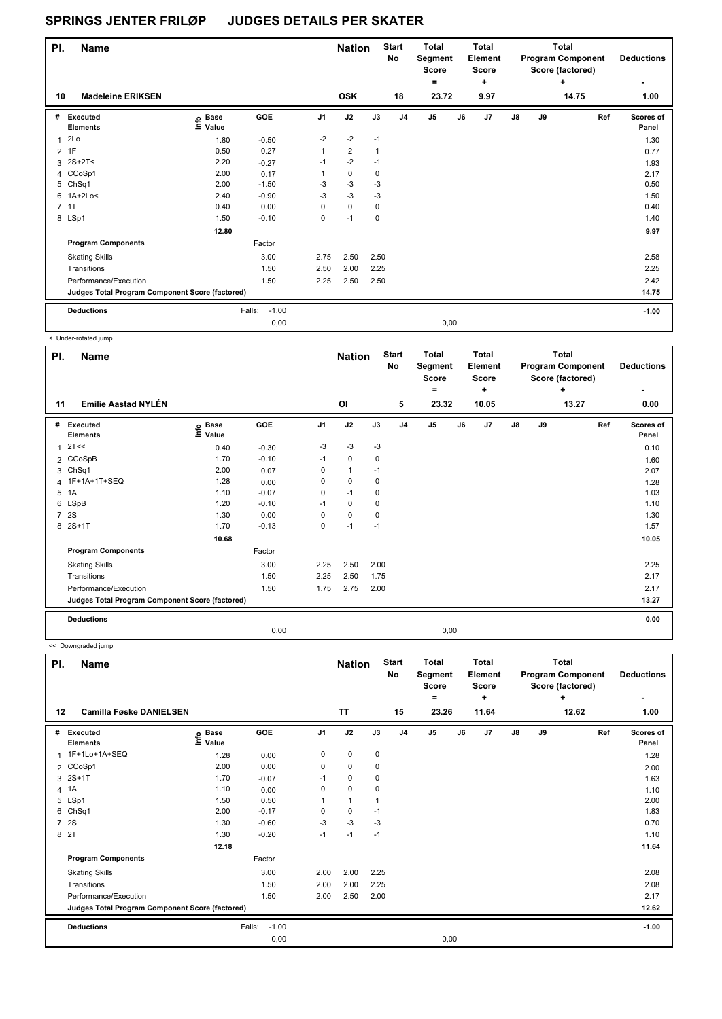| PI.            | <b>Name</b>                                     |                                  |                   |                | <b>Nation</b>  |      | <b>Start</b><br>No | <b>Total</b><br>Segment<br><b>Score</b> |      | <b>Total</b><br>Element<br><b>Score</b> |    |    | <b>Total</b><br><b>Program Component</b><br>Score (factored) | <b>Deductions</b>  |
|----------------|-------------------------------------------------|----------------------------------|-------------------|----------------|----------------|------|--------------------|-----------------------------------------|------|-----------------------------------------|----|----|--------------------------------------------------------------|--------------------|
| 10             | <b>Madeleine ERIKSEN</b>                        |                                  |                   |                | <b>OSK</b>     |      | 18                 | ۰<br>23.72                              |      | $\ddot{}$<br>9.97                       |    |    | ٠<br>14.75                                                   | 1.00               |
|                |                                                 |                                  |                   |                |                |      |                    |                                         |      |                                         |    |    |                                                              |                    |
| #              | Executed<br><b>Elements</b>                     | <b>Base</b><br>e Base<br>⊆ Value | GOE               | J <sub>1</sub> | J2             | J3   | J <sub>4</sub>     | J <sub>5</sub>                          | J6   | J7                                      | J8 | J9 | Ref                                                          | Scores of<br>Panel |
| $\mathbf{1}$   | 2Lo                                             | 1.80                             | $-0.50$           | $-2$           | $-2$           | $-1$ |                    |                                         |      |                                         |    |    |                                                              | 1.30               |
| $\overline{2}$ | 1F                                              | 0.50                             | 0.27              | 1              | $\overline{2}$ | 1    |                    |                                         |      |                                         |    |    |                                                              | 0.77               |
|                | $3 \t2S+2T <$                                   | 2.20                             | $-0.27$           | $-1$           | $-2$           | $-1$ |                    |                                         |      |                                         |    |    |                                                              | 1.93               |
|                | 4 CCoSp1                                        | 2.00                             | 0.17              |                | $\mathbf 0$    | 0    |                    |                                         |      |                                         |    |    |                                                              | 2.17               |
|                | 5 ChSq1                                         | 2.00                             | $-1.50$           | $-3$           | $-3$           | $-3$ |                    |                                         |      |                                         |    |    |                                                              | 0.50               |
|                | 6 1A+2Lo<                                       | 2.40                             | $-0.90$           | $-3$           | $-3$           | $-3$ |                    |                                         |      |                                         |    |    |                                                              | 1.50               |
| $\overline{7}$ | 1T                                              | 0.40                             | 0.00              | 0              | $\mathbf 0$    | 0    |                    |                                         |      |                                         |    |    |                                                              | 0.40               |
|                | 8 LSp1                                          | 1.50                             | $-0.10$           | 0              | $-1$           | 0    |                    |                                         |      |                                         |    |    |                                                              | 1.40               |
|                |                                                 | 12.80                            |                   |                |                |      |                    |                                         |      |                                         |    |    |                                                              | 9.97               |
|                | <b>Program Components</b>                       |                                  | Factor            |                |                |      |                    |                                         |      |                                         |    |    |                                                              |                    |
|                | <b>Skating Skills</b>                           |                                  | 3.00              | 2.75           | 2.50           | 2.50 |                    |                                         |      |                                         |    |    |                                                              | 2.58               |
|                | Transitions                                     |                                  | 1.50              | 2.50           | 2.00           | 2.25 |                    |                                         |      |                                         |    |    |                                                              | 2.25               |
|                | Performance/Execution                           |                                  | 1.50              | 2.25           | 2.50           | 2.50 |                    |                                         |      |                                         |    |    |                                                              | 2.42               |
|                | Judges Total Program Component Score (factored) |                                  |                   |                |                |      |                    |                                         |      |                                         |    |    |                                                              | 14.75              |
|                | <b>Deductions</b>                               |                                  | $-1.00$<br>Falls: |                |                |      |                    |                                         |      |                                         |    |    |                                                              | $-1.00$            |
|                |                                                 |                                  | 0,00              |                |                |      |                    |                                         | 0,00 |                                         |    |    |                                                              |                    |

|                | < Under-rotated jump                            |                   |         |                |                     |             |                         |                                                       |    |                                                |               |    |                                                                            |                                |
|----------------|-------------------------------------------------|-------------------|---------|----------------|---------------------|-------------|-------------------------|-------------------------------------------------------|----|------------------------------------------------|---------------|----|----------------------------------------------------------------------------|--------------------------------|
| PI.<br>11      | <b>Name</b><br><b>Emilie Aastad NYLÉN</b>       |                   |         |                | <b>Nation</b><br>OI |             | <b>Start</b><br>No<br>5 | <b>Total</b><br>Segment<br><b>Score</b><br>٠<br>23.32 |    | <b>Total</b><br>Element<br>Score<br>٠<br>10.05 |               |    | <b>Total</b><br><b>Program Component</b><br>Score (factored)<br>÷<br>13.27 | <b>Deductions</b><br>٠<br>0.00 |
|                |                                                 |                   |         |                |                     |             |                         |                                                       |    |                                                |               |    |                                                                            |                                |
| #              | Executed<br><b>Elements</b>                     | e Base<br>E Value | GOE     | J <sub>1</sub> | J2                  | J3          | J <sub>4</sub>          | J <sub>5</sub>                                        | J6 | J <sub>7</sub>                                 | $\mathsf{J}8$ | J9 | Ref                                                                        | Scores of<br>Panel             |
| $\overline{1}$ | 2T<<                                            | 0.40              | $-0.30$ | $-3$           | $-3$                | $-3$        |                         |                                                       |    |                                                |               |    |                                                                            | 0.10                           |
|                | 2 CCoSpB                                        | 1.70              | $-0.10$ | $-1$           | $\Omega$            | 0           |                         |                                                       |    |                                                |               |    |                                                                            | 1.60                           |
| 3              | Ch <sub>Sq1</sub>                               | 2.00              | 0.07    | 0              | $\mathbf{1}$        | $-1$        |                         |                                                       |    |                                                |               |    |                                                                            | 2.07                           |
|                | 4 1F+1A+1T+SEQ                                  | 1.28              | 0.00    | 0              | 0                   | $\mathbf 0$ |                         |                                                       |    |                                                |               |    |                                                                            | 1.28                           |
| 5              | 1A                                              | 1.10              | $-0.07$ | 0              | $-1$                | $\mathbf 0$ |                         |                                                       |    |                                                |               |    |                                                                            | 1.03                           |
|                | 6 LSpB                                          | 1.20              | $-0.10$ | $-1$           | $\mathbf 0$         | $\mathbf 0$ |                         |                                                       |    |                                                |               |    |                                                                            | 1.10                           |
| $\overline{7}$ | <b>2S</b>                                       | 1.30              | 0.00    | $\Omega$       | $\mathbf 0$         | $\mathbf 0$ |                         |                                                       |    |                                                |               |    |                                                                            | 1.30                           |
| 8              | $2S+1T$                                         | 1.70              | $-0.13$ | 0              | $-1$                | $-1$        |                         |                                                       |    |                                                |               |    |                                                                            | 1.57                           |
|                |                                                 | 10.68             |         |                |                     |             |                         |                                                       |    |                                                |               |    |                                                                            | 10.05                          |
|                | <b>Program Components</b>                       |                   | Factor  |                |                     |             |                         |                                                       |    |                                                |               |    |                                                                            |                                |
|                | <b>Skating Skills</b>                           |                   | 3.00    | 2.25           | 2.50                | 2.00        |                         |                                                       |    |                                                |               |    |                                                                            | 2.25                           |
|                | Transitions                                     |                   | 1.50    | 2.25           | 2.50                | 1.75        |                         |                                                       |    |                                                |               |    |                                                                            | 2.17                           |
|                | Performance/Execution                           |                   | 1.50    | 1.75           | 2.75                | 2.00        |                         |                                                       |    |                                                |               |    |                                                                            | 2.17                           |
|                | Judges Total Program Component Score (factored) |                   |         |                |                     |             |                         |                                                       |    |                                                |               |    |                                                                            | 13.27                          |
|                | <b>Deductions</b>                               |                   |         |                |                     |             |                         |                                                       |    |                                                |               |    |                                                                            | 0.00                           |
|                |                                                 |                   | 0,00    |                |                     |             |                         | 0,00                                                  |    |                                                |               |    |                                                                            |                                |

<< Downgraded jump

| PI.            | <b>Name</b>                                     |                   |                   |                | <b>Nation</b> |             | <b>Start</b><br>No | Total<br>Segment<br><b>Score</b><br>= |      | <b>Total</b><br>Element<br><b>Score</b><br>٠ |               |    | Total<br><b>Program Component</b><br>Score (factored)<br>٠ | <b>Deductions</b>  |
|----------------|-------------------------------------------------|-------------------|-------------------|----------------|---------------|-------------|--------------------|---------------------------------------|------|----------------------------------------------|---------------|----|------------------------------------------------------------|--------------------|
| $12 \,$        | <b>Camilla Føske DANIELSEN</b>                  |                   |                   |                | <b>TT</b>     |             | 15                 | 23.26                                 |      | 11.64                                        |               |    | 12.62                                                      | 1.00               |
| #              | <b>Executed</b><br><b>Elements</b>              | e Base<br>⊑ Value | GOE               | J <sub>1</sub> | J2            | J3          | J <sub>4</sub>     | J <sub>5</sub>                        | J6   | J7                                           | $\mathsf{J}8$ | J9 | Ref                                                        | Scores of<br>Panel |
|                | 1 1F+1Lo+1A+SEQ                                 | 1.28              | 0.00              | 0              | 0             | 0           |                    |                                       |      |                                              |               |    |                                                            | 1.28               |
|                | 2 CCoSp1                                        | 2.00              | 0.00              | 0              | $\mathbf 0$   | 0           |                    |                                       |      |                                              |               |    |                                                            | 2.00               |
| 3              | $2S+1T$                                         | 1.70              | $-0.07$           | $-1$           | $\mathbf 0$   | 0           |                    |                                       |      |                                              |               |    |                                                            | 1.63               |
| $\overline{4}$ | 1A                                              | 1.10              | 0.00              | $\Omega$       | $\mathbf 0$   | $\mathbf 0$ |                    |                                       |      |                                              |               |    |                                                            | 1.10               |
|                | 5 LSp1                                          | 1.50              | 0.50              |                | $\mathbf{1}$  |             |                    |                                       |      |                                              |               |    |                                                            | 2.00               |
| 6              | ChSq1                                           | 2.00              | $-0.17$           | 0              | 0             | $-1$        |                    |                                       |      |                                              |               |    |                                                            | 1.83               |
|                | 7 2S                                            | 1.30              | $-0.60$           | $-3$           | $-3$          | -3          |                    |                                       |      |                                              |               |    |                                                            | 0.70               |
|                | 8 2T                                            | 1.30              | $-0.20$           | $-1$           | $-1$          | $-1$        |                    |                                       |      |                                              |               |    |                                                            | 1.10               |
|                |                                                 | 12.18             |                   |                |               |             |                    |                                       |      |                                              |               |    |                                                            | 11.64              |
|                | <b>Program Components</b>                       |                   | Factor            |                |               |             |                    |                                       |      |                                              |               |    |                                                            |                    |
|                | <b>Skating Skills</b>                           |                   | 3.00              | 2.00           | 2.00          | 2.25        |                    |                                       |      |                                              |               |    |                                                            | 2.08               |
|                | Transitions                                     |                   | 1.50              | 2.00           | 2.00          | 2.25        |                    |                                       |      |                                              |               |    |                                                            | 2.08               |
|                | Performance/Execution                           |                   | 1.50              | 2.00           | 2.50          | 2.00        |                    |                                       |      |                                              |               |    |                                                            | 2.17               |
|                | Judges Total Program Component Score (factored) |                   |                   |                |               |             |                    |                                       |      |                                              |               |    |                                                            | 12.62              |
|                | <b>Deductions</b>                               |                   | $-1.00$<br>Falls: |                |               |             |                    |                                       |      |                                              |               |    |                                                            | $-1.00$            |
|                |                                                 |                   | 0,00              |                |               |             |                    |                                       | 0,00 |                                              |               |    |                                                            |                    |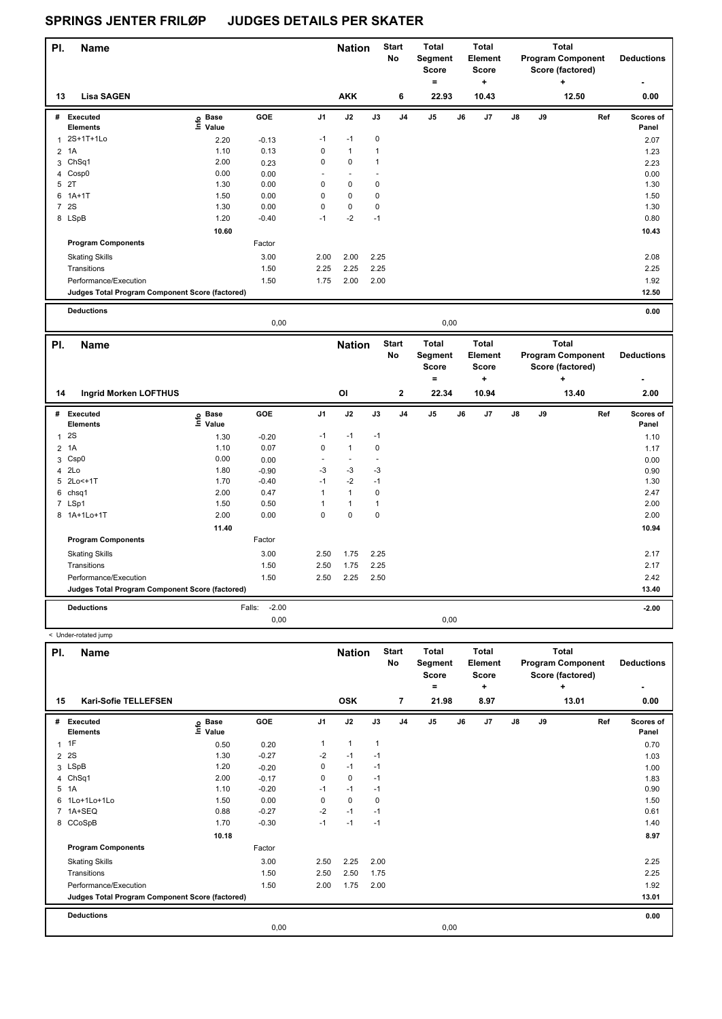< Under-rotated jump

| PI.            | <b>Name</b>                                     |                                  |            |                | <b>Nation</b>  |                | <b>Start</b><br><b>No</b> | Total<br>Segment<br><b>Score</b><br>$\equiv$ |      | Total<br>Element<br><b>Score</b><br>٠ |               |    | Total<br><b>Program Component</b><br>Score (factored)<br>٠ | <b>Deductions</b>         |
|----------------|-------------------------------------------------|----------------------------------|------------|----------------|----------------|----------------|---------------------------|----------------------------------------------|------|---------------------------------------|---------------|----|------------------------------------------------------------|---------------------------|
| 13             | <b>Lisa SAGEN</b>                               |                                  |            |                | <b>AKK</b>     |                | 6                         | 22.93                                        |      | 10.43                                 |               |    | 12.50                                                      | 0.00                      |
| #              | Executed<br><b>Elements</b>                     | <b>Base</b><br>e Base<br>⊆ Value | <b>GOE</b> | J <sub>1</sub> | J2             | J3             | J <sub>4</sub>            | J <sub>5</sub>                               | J6   | J7                                    | $\mathsf{J}8$ | J9 | Ref                                                        | <b>Scores of</b><br>Panel |
|                | 2S+1T+1Lo                                       | 2.20                             | $-0.13$    | $-1$           | $-1$           | 0              |                           |                                              |      |                                       |               |    |                                                            | 2.07                      |
| 2              | 1A                                              | 1.10                             | 0.13       | 0              | $\mathbf{1}$   | $\overline{1}$ |                           |                                              |      |                                       |               |    |                                                            | 1.23                      |
|                | 3 ChSq1                                         | 2.00                             | 0.23       | $\pmb{0}$      | $\mathbf 0$    | $\overline{1}$ |                           |                                              |      |                                       |               |    |                                                            | 2.23                      |
|                | 4 Cosp0                                         | 0.00                             | 0.00       | ٠              | $\blacksquare$ |                |                           |                                              |      |                                       |               |    |                                                            | 0.00                      |
| 5              | 2T                                              | 1.30                             | 0.00       | 0              | $\mathbf 0$    | 0              |                           |                                              |      |                                       |               |    |                                                            | 1.30                      |
|                | $6$ 1A+1T                                       | 1.50                             | 0.00       | 0              | $\mathbf 0$    | 0              |                           |                                              |      |                                       |               |    |                                                            | 1.50                      |
| $\overline{7}$ | <b>2S</b>                                       | 1.30                             | 0.00       | $\mathbf 0$    | 0              | 0              |                           |                                              |      |                                       |               |    |                                                            | 1.30                      |
|                | 8 LSpB                                          | 1.20                             | $-0.40$    | $-1$           | $-2$           | $-1$           |                           |                                              |      |                                       |               |    |                                                            | 0.80                      |
|                |                                                 | 10.60                            |            |                |                |                |                           |                                              |      |                                       |               |    |                                                            | 10.43                     |
|                | <b>Program Components</b>                       |                                  | Factor     |                |                |                |                           |                                              |      |                                       |               |    |                                                            |                           |
|                | <b>Skating Skills</b>                           |                                  | 3.00       | 2.00           | 2.00           | 2.25           |                           |                                              |      |                                       |               |    |                                                            | 2.08                      |
|                | Transitions                                     |                                  | 1.50       | 2.25           | 2.25           | 2.25           |                           |                                              |      |                                       |               |    |                                                            | 2.25                      |
|                | Performance/Execution                           |                                  | 1.50       | 1.75           | 2.00           | 2.00           |                           |                                              |      |                                       |               |    |                                                            | 1.92                      |
|                | Judges Total Program Component Score (factored) |                                  |            |                |                |                |                           |                                              |      |                                       |               |    |                                                            | 12.50                     |
|                | <b>Deductions</b>                               |                                  |            |                |                |                |                           |                                              |      |                                       |               |    |                                                            | 0.00                      |
|                |                                                 |                                  | 0,00       |                |                |                |                           |                                              | 0,00 |                                       |               |    |                                                            |                           |

| PI.            | <b>Name</b>                                     |                              |                   |                          | <b>Nation</b>            |                          | <b>Start</b><br>No | <b>Total</b><br>Segment<br><b>Score</b><br>$\equiv$ |    | Total<br>Element<br>Score<br>٠ |    |    | Total<br><b>Program Component</b><br>Score (factored)<br>٠ | <b>Deductions</b><br>٠ |
|----------------|-------------------------------------------------|------------------------------|-------------------|--------------------------|--------------------------|--------------------------|--------------------|-----------------------------------------------------|----|--------------------------------|----|----|------------------------------------------------------------|------------------------|
| 14             | <b>Ingrid Morken LOFTHUS</b>                    |                              |                   |                          | O <sub>l</sub>           |                          | $\mathbf{2}$       | 22.34                                               |    | 10.94                          |    |    | 13.40                                                      | 2.00                   |
| #              | Executed<br><b>Elements</b>                     | <b>Base</b><br>١nfo<br>Value | GOE               | J <sub>1</sub>           | J2                       | J3                       | J <sub>4</sub>     | J <sub>5</sub>                                      | J6 | J <sub>7</sub>                 | J8 | J9 | Ref                                                        | Scores of<br>Panel     |
| 1              | 2S                                              | 1.30                         | $-0.20$           | $-1$                     | $-1$                     | $-1$                     |                    |                                                     |    |                                |    |    |                                                            | 1.10                   |
| $\overline{2}$ | 1A                                              | 1.10                         | 0.07              | 0                        | $\mathbf{1}$             | 0                        |                    |                                                     |    |                                |    |    |                                                            | 1.17                   |
| 3              | Csp <sub>0</sub>                                | 0.00                         | 0.00              | $\overline{\phantom{a}}$ | $\overline{\phantom{a}}$ | $\overline{\phantom{a}}$ |                    |                                                     |    |                                |    |    |                                                            | 0.00                   |
| 4              | 2Lo                                             | 1.80                         | $-0.90$           | $-3$                     | $-3$                     | -3                       |                    |                                                     |    |                                |    |    |                                                            | 0.90                   |
| 5              | 2Lo<+1T                                         | 1.70                         | $-0.40$           | $-1$                     | $-2$                     | $-1$                     |                    |                                                     |    |                                |    |    |                                                            | 1.30                   |
| 6              | chsq1                                           | 2.00                         | 0.47              | 1                        | $\mathbf{1}$             | 0                        |                    |                                                     |    |                                |    |    |                                                            | 2.47                   |
| $\overline{7}$ | LSp1                                            | 1.50                         | 0.50              | 1                        | $\mathbf{1}$             | 1                        |                    |                                                     |    |                                |    |    |                                                            | 2.00                   |
|                | 8 1A+1Lo+1T                                     | 2.00                         | 0.00              | 0                        | $\mathbf 0$              | 0                        |                    |                                                     |    |                                |    |    |                                                            | 2.00                   |
|                |                                                 | 11.40                        |                   |                          |                          |                          |                    |                                                     |    |                                |    |    |                                                            | 10.94                  |
|                | <b>Program Components</b>                       |                              | Factor            |                          |                          |                          |                    |                                                     |    |                                |    |    |                                                            |                        |
|                | <b>Skating Skills</b>                           |                              | 3.00              | 2.50                     | 1.75                     | 2.25                     |                    |                                                     |    |                                |    |    |                                                            | 2.17                   |
|                | Transitions                                     |                              | 1.50              | 2.50                     | 1.75                     | 2.25                     |                    |                                                     |    |                                |    |    |                                                            | 2.17                   |
|                | Performance/Execution                           |                              | 1.50              | 2.50                     | 2.25                     | 2.50                     |                    |                                                     |    |                                |    |    |                                                            | 2.42                   |
|                | Judges Total Program Component Score (factored) |                              |                   |                          |                          |                          |                    |                                                     |    |                                |    |    |                                                            | 13.40                  |
|                | <b>Deductions</b>                               |                              | $-2.00$<br>Falls: |                          |                          |                          |                    |                                                     |    |                                |    |    |                                                            | $-2.00$                |
|                |                                                 |                              | 0,00              |                          |                          |                          |                    | 0,00                                                |    |                                |    |    |                                                            |                        |

| PI. | <b>Name</b>                                     |                   |         |                | <b>Nation</b> |              | <b>Start</b><br>No | <b>Total</b><br>Segment<br><b>Score</b><br>= |    | <b>Total</b><br>Element<br><b>Score</b><br>٠ |               |    | <b>Total</b><br><b>Program Component</b><br>Score (factored)<br>÷ | <b>Deductions</b>  |
|-----|-------------------------------------------------|-------------------|---------|----------------|---------------|--------------|--------------------|----------------------------------------------|----|----------------------------------------------|---------------|----|-------------------------------------------------------------------|--------------------|
| 15  | Kari-Sofie TELLEFSEN                            |                   |         |                | <b>OSK</b>    |              | $\overline{7}$     | 21.98                                        |    | 8.97                                         |               |    | 13.01                                                             | 0.00               |
|     | # Executed<br><b>Elements</b>                   | e Base<br>⊑ Value | GOE     | J <sub>1</sub> | J2            | J3           | J <sub>4</sub>     | J <sub>5</sub>                               | J6 | J7                                           | $\mathsf{J}8$ | J9 | Ref                                                               | Scores of<br>Panel |
|     | $1$ 1F                                          | 0.50              | 0.20    | 1              | $\mathbf{1}$  | $\mathbf{1}$ |                    |                                              |    |                                              |               |    |                                                                   | 0.70               |
|     | 2 <sup>2S</sup>                                 | 1.30              | $-0.27$ | $-2$           | $-1$          | $-1$         |                    |                                              |    |                                              |               |    |                                                                   | 1.03               |
|     | 3 LSpB                                          | 1.20              | $-0.20$ | 0              | $-1$          | $-1$         |                    |                                              |    |                                              |               |    |                                                                   | 1.00               |
|     | 4 ChSq1                                         | 2.00              | $-0.17$ | 0              | 0             | $-1$         |                    |                                              |    |                                              |               |    |                                                                   | 1.83               |
|     | 5 1A                                            | 1.10              | $-0.20$ | $-1$           | $-1$          | $-1$         |                    |                                              |    |                                              |               |    |                                                                   | 0.90               |
|     | 6 1Lo+1Lo+1Lo                                   | 1.50              | 0.00    | 0              | $\mathbf 0$   | 0            |                    |                                              |    |                                              |               |    |                                                                   | 1.50               |
|     | 7 1A+SEQ                                        | 0.88              | $-0.27$ | $-2$           | $-1$          | $-1$         |                    |                                              |    |                                              |               |    |                                                                   | 0.61               |
|     | 8 CCoSpB                                        | 1.70              | $-0.30$ | $-1$           | $-1$          | $-1$         |                    |                                              |    |                                              |               |    |                                                                   | 1.40               |
|     |                                                 | 10.18             |         |                |               |              |                    |                                              |    |                                              |               |    |                                                                   | 8.97               |
|     | <b>Program Components</b>                       |                   | Factor  |                |               |              |                    |                                              |    |                                              |               |    |                                                                   |                    |
|     | <b>Skating Skills</b>                           |                   | 3.00    | 2.50           | 2.25          | 2.00         |                    |                                              |    |                                              |               |    |                                                                   | 2.25               |
|     | Transitions                                     |                   | 1.50    | 2.50           | 2.50          | 1.75         |                    |                                              |    |                                              |               |    |                                                                   | 2.25               |
|     | Performance/Execution                           |                   | 1.50    | 2.00           | 1.75          | 2.00         |                    |                                              |    |                                              |               |    |                                                                   | 1.92               |
|     | Judges Total Program Component Score (factored) |                   |         |                |               |              |                    |                                              |    |                                              |               |    |                                                                   | 13.01              |
|     | <b>Deductions</b>                               |                   |         |                |               |              |                    |                                              |    |                                              |               |    |                                                                   | 0.00               |
|     |                                                 |                   | 0,00    |                |               |              |                    | 0,00                                         |    |                                              |               |    |                                                                   |                    |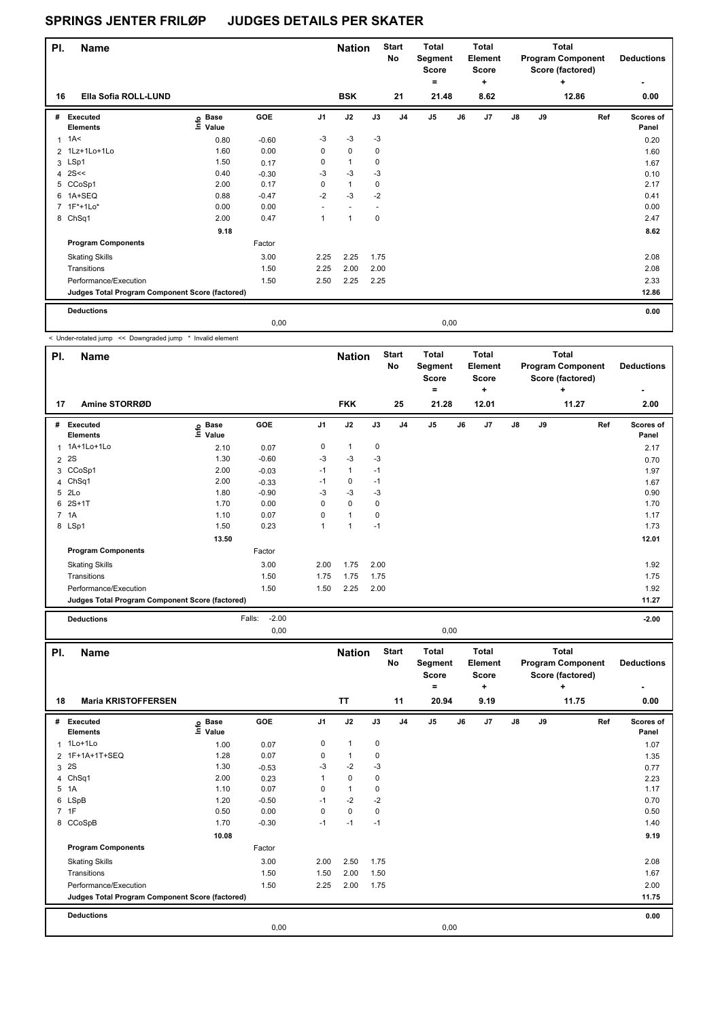| PI. | <b>Name</b>                                     |                                  |         |      | <b>Nation</b>            |      | <b>Start</b><br>No | <b>Total</b><br>Segment<br>Score<br>۰ |      | <b>Total</b><br>Element<br><b>Score</b><br>$\ddot{}$ |    |    | Total<br><b>Program Component</b><br>Score (factored)<br>٠ | <b>Deductions</b>  |
|-----|-------------------------------------------------|----------------------------------|---------|------|--------------------------|------|--------------------|---------------------------------------|------|------------------------------------------------------|----|----|------------------------------------------------------------|--------------------|
| 16  | Ella Sofia ROLL-LUND                            |                                  |         |      | <b>BSK</b>               |      | 21                 | 21.48                                 |      | 8.62                                                 |    |    | 12.86                                                      | 0.00               |
| #   | Executed<br><b>Elements</b>                     | <b>Base</b><br>은 Base<br>트 Value | GOE     | J1   | J2                       | J3   | J <sub>4</sub>     | J <sub>5</sub>                        | J6   | J7                                                   | J8 | J9 | Ref                                                        | Scores of<br>Panel |
|     | $1 \text{ } 1 \text{ A}$                        | 0.80                             | $-0.60$ | $-3$ | $-3$                     | $-3$ |                    |                                       |      |                                                      |    |    |                                                            | 0.20               |
|     | 2 1Lz+1Lo+1Lo                                   | 1.60                             | 0.00    | 0    | $\mathbf 0$              | 0    |                    |                                       |      |                                                      |    |    |                                                            | 1.60               |
|     | 3 LSp1                                          | 1.50                             | 0.17    | 0    | 1                        | 0    |                    |                                       |      |                                                      |    |    |                                                            | 1.67               |
|     | 4 $2S <<$                                       | 0.40                             | $-0.30$ | $-3$ | $-3$                     | $-3$ |                    |                                       |      |                                                      |    |    |                                                            | 0.10               |
|     | 5 CCoSp1                                        | 2.00                             | 0.17    | 0    | $\mathbf{1}$             | 0    |                    |                                       |      |                                                      |    |    |                                                            | 2.17               |
| 6   | 1A+SEQ                                          | 0.88                             | $-0.47$ | $-2$ | $-3$                     | $-2$ |                    |                                       |      |                                                      |    |    |                                                            | 0.41               |
|     | 7 1F*+1Lo*                                      | 0.00                             | 0.00    |      | $\overline{\phantom{a}}$ |      |                    |                                       |      |                                                      |    |    |                                                            | 0.00               |
|     | 8 ChSq1                                         | 2.00                             | 0.47    | 1    | 1                        | 0    |                    |                                       |      |                                                      |    |    |                                                            | 2.47               |
|     |                                                 | 9.18                             |         |      |                          |      |                    |                                       |      |                                                      |    |    |                                                            | 8.62               |
|     | <b>Program Components</b>                       |                                  | Factor  |      |                          |      |                    |                                       |      |                                                      |    |    |                                                            |                    |
|     | <b>Skating Skills</b>                           |                                  | 3.00    | 2.25 | 2.25                     | 1.75 |                    |                                       |      |                                                      |    |    |                                                            | 2.08               |
|     | Transitions                                     |                                  | 1.50    | 2.25 | 2.00                     | 2.00 |                    |                                       |      |                                                      |    |    |                                                            | 2.08               |
|     | Performance/Execution                           |                                  | 1.50    | 2.50 | 2.25                     | 2.25 |                    |                                       |      |                                                      |    |    |                                                            | 2.33               |
|     | Judges Total Program Component Score (factored) |                                  |         |      |                          |      |                    |                                       |      |                                                      |    |    |                                                            | 12.86              |
|     | <b>Deductions</b>                               |                                  |         |      |                          |      |                    |                                       |      |                                                      |    |    |                                                            | 0.00               |
|     |                                                 |                                  | 0,00    |      |                          |      |                    |                                       | 0,00 |                                                      |    |    |                                                            |                    |

< Under-rotated jump << Downgraded jump \* Invalid element

| PI. | <b>Name</b>                                     |                   |                   |                | <b>Nation</b> |      | <b>Start</b><br>No | <b>Total</b><br>Segment<br>Score<br>= |    | <b>Total</b><br>Element<br><b>Score</b><br>٠ |    |    | <b>Total</b><br><b>Program Component</b><br>Score (factored)<br>٠ | <b>Deductions</b>         |
|-----|-------------------------------------------------|-------------------|-------------------|----------------|---------------|------|--------------------|---------------------------------------|----|----------------------------------------------|----|----|-------------------------------------------------------------------|---------------------------|
| 17  | Amine STORRØD                                   |                   |                   |                | <b>FKK</b>    |      | 25                 | 21.28                                 |    | 12.01                                        |    |    | 11.27                                                             | 2.00                      |
| #   | Executed<br><b>Elements</b>                     | e Base<br>⊑ Value | GOE               | J <sub>1</sub> | J2            | J3   | J <sub>4</sub>     | J5                                    | J6 | J7                                           | J8 | J9 | Ref                                                               | <b>Scores of</b><br>Panel |
|     | 1 1A+1Lo+1Lo                                    | 2.10              | 0.07              | 0              | $\mathbf{1}$  | 0    |                    |                                       |    |                                              |    |    |                                                                   | 2.17                      |
|     | 2 2 S                                           | 1.30              | $-0.60$           | -3             | -3            | $-3$ |                    |                                       |    |                                              |    |    |                                                                   | 0.70                      |
|     | 3 CCoSp1                                        | 2.00              | $-0.03$           | $-1$           | $\mathbf{1}$  | $-1$ |                    |                                       |    |                                              |    |    |                                                                   | 1.97                      |
|     | 4 ChSq1                                         | 2.00              | $-0.33$           | $-1$           | 0             | $-1$ |                    |                                       |    |                                              |    |    |                                                                   | 1.67                      |
|     | 5 2Lo                                           | 1.80              | $-0.90$           | -3             | $-3$          | -3   |                    |                                       |    |                                              |    |    |                                                                   | 0.90                      |
|     | 6 2S+1T                                         | 1.70              | 0.00              | 0              | $\mathbf 0$   | 0    |                    |                                       |    |                                              |    |    |                                                                   | 1.70                      |
|     | 7 1A                                            | 1.10              | 0.07              | 0              | $\mathbf{1}$  | 0    |                    |                                       |    |                                              |    |    |                                                                   | 1.17                      |
|     | 8 LSp1                                          | 1.50              | 0.23              |                | 1             | $-1$ |                    |                                       |    |                                              |    |    |                                                                   | 1.73                      |
|     |                                                 | 13.50             |                   |                |               |      |                    |                                       |    |                                              |    |    |                                                                   | 12.01                     |
|     | <b>Program Components</b>                       |                   | Factor            |                |               |      |                    |                                       |    |                                              |    |    |                                                                   |                           |
|     | <b>Skating Skills</b>                           |                   | 3.00              | 2.00           | 1.75          | 2.00 |                    |                                       |    |                                              |    |    |                                                                   | 1.92                      |
|     | Transitions                                     |                   | 1.50              | 1.75           | 1.75          | 1.75 |                    |                                       |    |                                              |    |    |                                                                   | 1.75                      |
|     | Performance/Execution                           |                   | 1.50              | 1.50           | 2.25          | 2.00 |                    |                                       |    |                                              |    |    |                                                                   | 1.92                      |
|     | Judges Total Program Component Score (factored) |                   |                   |                |               |      |                    |                                       |    |                                              |    |    |                                                                   | 11.27                     |
|     | <b>Deductions</b>                               |                   | $-2.00$<br>Falls: |                |               |      |                    |                                       |    |                                              |    |    |                                                                   | $-2.00$                   |

0,00 0,00

| PI. | <b>Name</b>                                     |                            |         |      | <b>Nation</b> |             | <b>Start</b><br>No | <b>Total</b><br>Segment<br><b>Score</b> |      | <b>Total</b><br>Element<br><b>Score</b> |               |    | <b>Total</b><br><b>Program Component</b><br>Score (factored) | <b>Deductions</b>  |
|-----|-------------------------------------------------|----------------------------|---------|------|---------------|-------------|--------------------|-----------------------------------------|------|-----------------------------------------|---------------|----|--------------------------------------------------------------|--------------------|
|     |                                                 |                            |         |      |               |             |                    | $=$                                     |      | ٠                                       |               |    | ٠                                                            | ۰                  |
| 18  | <b>Maria KRISTOFFERSEN</b>                      |                            |         |      | <b>TT</b>     |             | 11                 | 20.94                                   |      | 9.19                                    |               |    | 11.75                                                        | 0.00               |
| #   | Executed<br><b>Elements</b>                     | e Base<br>⊑ Value<br>Value | GOE     | J1   | J2            | J3          | J <sub>4</sub>     | J <sub>5</sub>                          | J6   | J <sub>7</sub>                          | $\mathsf{J}8$ | J9 | Ref                                                          | Scores of<br>Panel |
|     | 1 1Lo+1Lo                                       | 1.00                       | 0.07    | 0    | $\mathbf{1}$  | 0           |                    |                                         |      |                                         |               |    |                                                              | 1.07               |
|     | 2 1F+1A+1T+SEQ                                  | 1.28                       | 0.07    | 0    | $\mathbf{1}$  | 0           |                    |                                         |      |                                         |               |    |                                                              | 1.35               |
|     | 3 2S                                            | 1.30                       | $-0.53$ | $-3$ | $-2$          | $-3$        |                    |                                         |      |                                         |               |    |                                                              | 0.77               |
|     | 4 ChSq1                                         | 2.00                       | 0.23    |      | $\mathbf 0$   | 0           |                    |                                         |      |                                         |               |    |                                                              | 2.23               |
|     | 5 1A                                            | 1.10                       | 0.07    | 0    | $\mathbf{1}$  | $\mathbf 0$ |                    |                                         |      |                                         |               |    |                                                              | 1.17               |
|     | 6 LSpB                                          | 1.20                       | $-0.50$ | $-1$ | $-2$          | $-2$        |                    |                                         |      |                                         |               |    |                                                              | 0.70               |
|     | 7 1F                                            | 0.50                       | 0.00    | 0    | $\mathbf 0$   | 0           |                    |                                         |      |                                         |               |    |                                                              | 0.50               |
|     | 8 CCoSpB                                        | 1.70                       | $-0.30$ | $-1$ | $-1$          | $-1$        |                    |                                         |      |                                         |               |    |                                                              | 1.40               |
|     |                                                 | 10.08                      |         |      |               |             |                    |                                         |      |                                         |               |    |                                                              | 9.19               |
|     | <b>Program Components</b>                       |                            | Factor  |      |               |             |                    |                                         |      |                                         |               |    |                                                              |                    |
|     | <b>Skating Skills</b>                           |                            | 3.00    | 2.00 | 2.50          | 1.75        |                    |                                         |      |                                         |               |    |                                                              | 2.08               |
|     | Transitions                                     |                            | 1.50    | 1.50 | 2.00          | 1.50        |                    |                                         |      |                                         |               |    |                                                              | 1.67               |
|     | Performance/Execution                           |                            | 1.50    | 2.25 | 2.00          | 1.75        |                    |                                         |      |                                         |               |    |                                                              | 2.00               |
|     | Judges Total Program Component Score (factored) |                            |         |      |               |             |                    |                                         |      |                                         |               |    |                                                              | 11.75              |
|     | <b>Deductions</b>                               |                            |         |      |               |             |                    |                                         |      |                                         |               |    |                                                              | 0.00               |
|     |                                                 |                            | 0,00    |      |               |             |                    |                                         | 0,00 |                                         |               |    |                                                              |                    |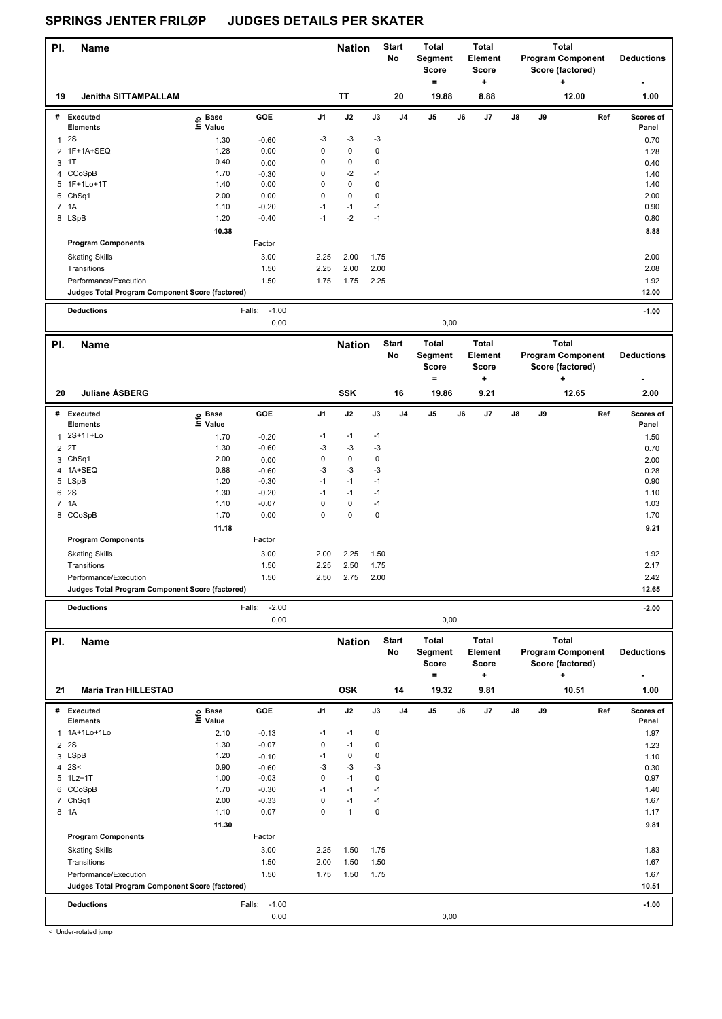| PI.            | <b>Name</b>                                     |                   |                    |             | <b>Nation</b> |               | <b>Start</b><br>No | <b>Total</b><br>Segment<br><b>Score</b><br>$=$ |      | <b>Total</b><br>Element<br><b>Score</b><br>÷ |    | <b>Total</b><br><b>Program Component</b><br>Score (factored) | <b>Deductions</b>                                     |                    |
|----------------|-------------------------------------------------|-------------------|--------------------|-------------|---------------|---------------|--------------------|------------------------------------------------|------|----------------------------------------------|----|--------------------------------------------------------------|-------------------------------------------------------|--------------------|
| 19             | Jenitha SITTAMPALLAM                            |                   |                    |             | TT            |               | 20                 | 19.88                                          |      | 8.88                                         |    |                                                              | ÷<br>12.00                                            | 1.00               |
|                | # Executed<br><b>Elements</b>                   | e Base<br>⊆ Value | GOE                | J1          | J2            | J3            | J <sub>4</sub>     | J <sub>5</sub>                                 | J6   | J7                                           | J8 | J9                                                           | Ref                                                   | Scores of<br>Panel |
|                | 12S                                             | 1.30              | $-0.60$            | -3          | $-3$          | $-3$          |                    |                                                |      |                                              |    |                                                              |                                                       | 0.70               |
|                | 2 1F+1A+SEQ                                     | 1.28              | 0.00               | 0           | $\mathbf 0$   | $\pmb{0}$     |                    |                                                |      |                                              |    |                                                              |                                                       | 1.28               |
|                | 3 <sup>1</sup>                                  | 0.40              | 0.00               | 0           | $\mathbf 0$   | 0             |                    |                                                |      |                                              |    |                                                              |                                                       | 0.40               |
|                | 4 CCoSpB                                        | 1.70              | $-0.30$            | 0           | $-2$          | $-1$          |                    |                                                |      |                                              |    |                                                              |                                                       | 1.40               |
|                | 5 1F+1Lo+1T                                     | 1.40              | 0.00               | 0           | 0             | $\pmb{0}$     |                    |                                                |      |                                              |    |                                                              |                                                       | 1.40               |
|                | 6 ChSq1                                         | 2.00              | 0.00               | $\pmb{0}$   | 0             | $\pmb{0}$     |                    |                                                |      |                                              |    |                                                              |                                                       | 2.00               |
|                | 7 1A                                            | 1.10              | $-0.20$            | $-1$        | $-1$          | $-1$          |                    |                                                |      |                                              |    |                                                              |                                                       | 0.90               |
|                | 8 LSpB                                          | 1.20              | $-0.40$            | $-1$        | $-2$          | $-1$          |                    |                                                |      |                                              |    |                                                              |                                                       | 0.80               |
|                |                                                 | 10.38             |                    |             |               |               |                    |                                                |      |                                              |    |                                                              |                                                       | 8.88               |
|                | <b>Program Components</b>                       |                   | Factor             |             |               |               |                    |                                                |      |                                              |    |                                                              |                                                       |                    |
|                | <b>Skating Skills</b>                           |                   | 3.00               | 2.25        | 2.00          | 1.75          |                    |                                                |      |                                              |    |                                                              |                                                       | 2.00               |
|                | Transitions                                     |                   | 1.50               | 2.25        | 2.00          | 2.00          |                    |                                                |      |                                              |    |                                                              |                                                       | 2.08               |
|                | Performance/Execution                           |                   | 1.50               | 1.75        | 1.75          | 2.25          |                    |                                                |      |                                              |    |                                                              |                                                       | 1.92               |
|                | Judges Total Program Component Score (factored) |                   |                    |             |               |               |                    |                                                |      |                                              |    |                                                              |                                                       | 12.00              |
|                |                                                 |                   |                    |             |               |               |                    |                                                |      |                                              |    |                                                              |                                                       |                    |
|                | <b>Deductions</b>                               |                   | Falls:<br>$-1.00$  |             |               |               |                    |                                                |      |                                              |    |                                                              |                                                       | $-1.00$            |
|                |                                                 |                   | 0,00               |             |               |               |                    |                                                | 0,00 |                                              |    |                                                              |                                                       |                    |
| PI.            | <b>Name</b>                                     |                   |                    |             | <b>Nation</b> |               | <b>Start</b><br>No | <b>Total</b><br>Segment                        |      | <b>Total</b><br>Element                      |    |                                                              | <b>Total</b><br><b>Program Component</b>              | <b>Deductions</b>  |
|                |                                                 |                   |                    |             |               |               |                    | <b>Score</b>                                   |      | <b>Score</b>                                 |    |                                                              | Score (factored)                                      |                    |
| 20             | Juliane ÅSBERG                                  |                   |                    |             | <b>SSK</b>    |               | 16                 | $\equiv$<br>19.86                              |      | +<br>9.21                                    |    |                                                              | ÷<br>12.65                                            | 2.00               |
|                |                                                 |                   |                    |             |               |               |                    |                                                |      |                                              |    |                                                              |                                                       |                    |
|                | # Executed<br><b>Elements</b>                   | e Base<br>⊆ Value | GOE                | J1          | J2            | $\mathsf{J3}$ | J <sub>4</sub>     | J5                                             | J6   | J7                                           | J8 | J9                                                           | Ref                                                   | Scores of<br>Panel |
|                | 1 2S+1T+Lo                                      |                   |                    | -1          | $-1$          | $-1$          |                    |                                                |      |                                              |    |                                                              |                                                       |                    |
|                | 2T                                              | 1.70<br>1.30      | $-0.20$<br>$-0.60$ | -3          | $-3$          | $-3$          |                    |                                                |      |                                              |    |                                                              |                                                       | 1.50               |
| $\overline{2}$ | 3 ChSq1                                         | 2.00              | 0.00               | $\pmb{0}$   | 0             | $\pmb{0}$     |                    |                                                |      |                                              |    |                                                              |                                                       | 0.70<br>2.00       |
| 4              | 1A+SEQ                                          | 0.88              | $-0.60$            | -3          | $-3$          | $-3$          |                    |                                                |      |                                              |    |                                                              |                                                       | 0.28               |
|                | 5 LSpB                                          | 1.20              | $-0.30$            | $-1$        | $-1$          | $-1$          |                    |                                                |      |                                              |    |                                                              |                                                       | 0.90               |
|                | 6 2S                                            | 1.30              | $-0.20$            | $-1$        | $-1$          | $-1$          |                    |                                                |      |                                              |    |                                                              |                                                       | 1.10               |
|                | 7 1A                                            | 1.10              | $-0.07$            | $\pmb{0}$   | 0             | $-1$          |                    |                                                |      |                                              |    |                                                              |                                                       | 1.03               |
|                | 8 CCoSpB                                        | 1.70              | 0.00               | $\pmb{0}$   | $\mathbf 0$   | $\pmb{0}$     |                    |                                                |      |                                              |    |                                                              |                                                       | 1.70               |
|                |                                                 | 11.18             |                    |             |               |               |                    |                                                |      |                                              |    |                                                              |                                                       | 9.21               |
|                | <b>Program Components</b>                       |                   | Factor             |             |               |               |                    |                                                |      |                                              |    |                                                              |                                                       |                    |
|                | <b>Skating Skills</b>                           |                   | 3.00               | 2.00        | 2.25          | 1.50          |                    |                                                |      |                                              |    |                                                              |                                                       | 1.92               |
|                | Transitions                                     |                   | 1.50               | 2.25        | 2.50          | 1.75          |                    |                                                |      |                                              |    |                                                              |                                                       | 2.17               |
|                | Performance/Execution                           |                   | 1.50               | 2.50        | 2.75          | 2.00          |                    |                                                |      |                                              |    |                                                              |                                                       | 2.42               |
|                | Judges Total Program Component Score (factored) |                   |                    |             |               |               |                    |                                                |      |                                              |    |                                                              |                                                       | 12.65              |
|                |                                                 |                   |                    |             |               |               |                    |                                                |      |                                              |    |                                                              |                                                       |                    |
|                | <b>Deductions</b>                               |                   | $-2.00$<br>Falls:  |             |               |               |                    |                                                |      |                                              |    |                                                              |                                                       | $-2.00$            |
|                |                                                 |                   | 0,00               |             |               |               |                    |                                                | 0,00 |                                              |    |                                                              |                                                       |                    |
| PI.            | <b>Name</b>                                     |                   |                    |             | <b>Nation</b> |               | Start<br>No        | <b>Total</b><br>Segment<br>Score               |      | Total<br>Element<br>Score                    |    |                                                              | Total<br><b>Program Component</b><br>Score (factored) | <b>Deductions</b>  |
| 21             | <b>Maria Tran HILLESTAD</b>                     |                   |                    |             | <b>OSK</b>    |               | 14                 | $\equiv$<br>19.32                              |      | ٠<br>9.81                                    |    |                                                              | 10.51                                                 | 1.00               |
|                | # Executed                                      |                   | GOE                | J1          | J2            | J3            | J4                 | J5                                             | J6   | J7                                           | J8 | J9                                                           | Ref                                                   | Scores of          |
|                | <b>Elements</b>                                 | e Base<br>⊑ Value |                    |             |               |               |                    |                                                |      |                                              |    |                                                              |                                                       | Panel              |
|                | 1 1A+1Lo+1Lo                                    | 2.10              | $-0.13$            | -1          | $-1$          | 0             |                    |                                                |      |                                              |    |                                                              |                                                       | 1.97               |
| $\overline{2}$ | 2S                                              | 1.30              | $-0.07$            | $\pmb{0}$   | $-1$          | $\pmb{0}$     |                    |                                                |      |                                              |    |                                                              |                                                       | 1.23               |
|                | 3 LSpB                                          | 1.20              | $-0.10$            | $-1$        | 0             | $\pmb{0}$     |                    |                                                |      |                                              |    |                                                              |                                                       | 1.10               |
|                | 4 $2S<$                                         | 0.90              | $-0.60$            | -3          | $-3$          | $-3$          |                    |                                                |      |                                              |    |                                                              |                                                       | 0.30               |
|                | 5 1Lz+1T                                        | 1.00              | $-0.03$            | 0           | $-1$          | 0             |                    |                                                |      |                                              |    |                                                              |                                                       | 0.97               |
|                | 6 CCoSpB                                        | 1.70              | $-0.30$            | $-1$        | $-1$          | $-1$          |                    |                                                |      |                                              |    |                                                              |                                                       | 1.40               |
|                | 7 ChSq1                                         | 2.00              | $-0.33$            | $\pmb{0}$   | $-1$          | $-1$          |                    |                                                |      |                                              |    |                                                              |                                                       | 1.67               |
|                | 8 1A                                            | 1.10              | 0.07               | $\mathbf 0$ | $\mathbf{1}$  | $\pmb{0}$     |                    |                                                |      |                                              |    |                                                              |                                                       | 1.17               |
|                |                                                 | 11.30             |                    |             |               |               |                    |                                                |      |                                              |    |                                                              |                                                       | 9.81               |
|                | <b>Program Components</b>                       |                   | Factor             |             |               |               |                    |                                                |      |                                              |    |                                                              |                                                       |                    |
|                | <b>Skating Skills</b>                           |                   | 3.00               | 2.25        | 1.50          | 1.75          |                    |                                                |      |                                              |    |                                                              |                                                       | 1.83               |
|                | Transitions                                     |                   | 1.50               | 2.00        | 1.50          | 1.50          |                    |                                                |      |                                              |    |                                                              |                                                       | 1.67               |
|                | Performance/Execution                           |                   | 1.50               | 1.75        | 1.50          | 1.75          |                    |                                                |      |                                              |    |                                                              |                                                       | 1.67               |
|                | Judges Total Program Component Score (factored) |                   |                    |             |               |               |                    |                                                |      |                                              |    |                                                              |                                                       | 10.51              |
|                | <b>Deductions</b>                               |                   | $-1.00$<br>Falls:  |             |               |               |                    |                                                |      |                                              |    |                                                              |                                                       | $-1.00$            |
|                |                                                 |                   | 0,00               |             |               |               |                    |                                                | 0,00 |                                              |    |                                                              |                                                       |                    |

< Under-rotated jump